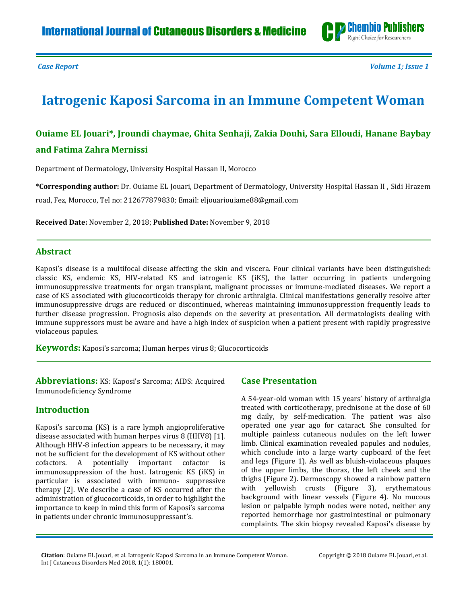

*Case Report Volume 1; Issue 1*

# **Iatrogenic Kaposi Sarcoma in an Immune Competent Woman**

### **Ouiame EL Jouari\*, Jroundi chaymae, Ghita Senhaji, Zakia Douhi, Sara Elloudi, Hanane Baybay and Fatima Zahra Mernissi**

Department of Dermatology, University Hospital Hassan II, Morocco

**\*Corresponding author:** Dr. Ouiame EL Jouari, Department of Dermatology, University Hospital Hassan II , Sidi Hrazem road, Fez, Morocco, Tel no: 212677879830; Email: [eljouariouiame88@gmail.com](mailto:eljouariouiame88@gmail.com)

**Received Date:** November 2, 2018; **Published Date:** November 9, 2018

#### **Abstract**

Kaposi's disease is a multifocal disease affecting the skin and viscera. Four clinical variants have been distinguished: classic KS, endemic KS, HIV-related KS and iatrogenic KS (iKS), the latter occurring in patients undergoing immunosuppressive treatments for organ transplant, malignant processes or immune-mediated diseases. We report a case of KS associated with glucocorticoids therapy for chronic arthralgia. Clinical manifestations generally resolve after immunosuppressive drugs are reduced or discontinued, whereas maintaining immunosuppression frequently leads to further disease progression. Prognosis also depends on the severity at presentation. All dermatologists dealing with immune suppressors must be aware and have a high index of suspicion when a patient present with rapidly progressive violaceous papules.

**Keywords:** Kaposi's sarcoma; Human herpes virus 8; Glucocorticoids

**Abbreviations:** KS: Kaposi's Sarcoma; AIDS: Acquired Immunodeficiency Syndrome

#### **Introduction**

Kaposi's sarcoma (KS) is a rare lymph angioproliferative disease associated with human herpes virus 8 (HHV8) [\[1\]](#page-2-0). Although HHV-8 infection appears to be necessary, it may not be sufficient for the development of KS without other cofactors. A potentially important cofactor is immunosuppression of the host. Iatrogenic KS (iKS) in particular is associated with immuno- suppressive therapy [\[2\]](#page-2-1). We describe a case of KS occurred after the administration of glucocorticoids, in order to highlight the importance to keep in mind this form of Kaposi's sarcoma in patients under chronic immunosuppressant's.

#### **Case Presentation**

A 54-year-old woman with 15 years' history of arthralgia treated with corticotherapy, prednisone at the dose of 60 mg daily, by self-medication. The patient was also operated one year ago for cataract. She consulted for multiple painless cutaneous nodules on the left lower limb. Clinical examination revealed papules and nodules, which conclude into a large warty cupboard of the feet and legs (Figure 1). As well as bluish-violaceous plaques of the upper limbs, the thorax, the left cheek and the thighs (Figure 2). Dermoscopy showed a rainbow pattern with yellowish crusts (Figure 3), erythematous background with linear vessels (Figure 4). No mucous lesion or palpable lymph nodes were noted, neither any reported hemorrhage nor gastrointestinal or pulmonary complaints. The skin biopsy revealed Kaposi's disease by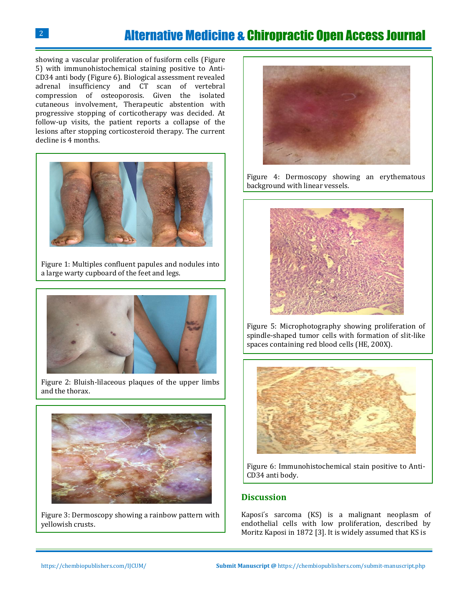## Alternative Medicine & Chiropractic Open Access Journal

showing a vascular proliferation of fusiform cells (Figure 5) with immunohistochemical staining positive to Anti-CD34 anti body (Figure 6). Biological assessment revealed adrenal insufficiency and CT scan of vertebral compression of osteoporosis. Given the isolated cutaneous involvement, Therapeutic abstention with progressive stopping of corticotherapy was decided. At follow-up visits, the patient reports a collapse of the lesions after stopping corticosteroid therapy. The current decline is 4 months.



Figure 1: Multiples confluent papules and nodules into a large warty cupboard of the feet and legs.



Figure 2: Bluish-lilaceous plaques of the upper limbs and the thorax.



Figure 3: Dermoscopy showing a rainbow pattern with yellowish crusts.



Figure 4: Dermoscopy showing an erythematous background with linear vessels.



Figure 5: Microphotography showing proliferation of spindle-shaped tumor cells with formation of slit-like spaces containing red blood cells (HE, 200X).



Figure 6: Immunohistochemical stain positive to Anti-CD34 anti body.

#### **Discussion**

Kaposi's sarcoma (KS) is a malignant neoplasm of endothelial cells with low proliferation, described by Moritz Kaposi in 1872 [\[3\]](#page-2-2). It is widely assumed that KS is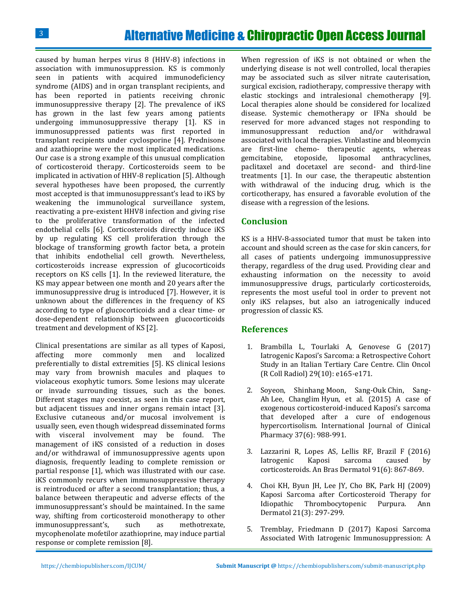caused by human herpes virus 8 (HHV-8) infections in association with immunosuppression. KS is commonly seen in patients with acquired immunodeficiency syndrome (AIDS) and in organ transplant recipients, and has been reported in patients receiving chronic immunosuppressive therapy [\[2\]](#page-2-1). The prevalence of iKS has grown in the last few years among patients undergoing immunosuppressive therapy [\[1\]](#page-2-0). KS in immunosuppressed patients was first reported in transplant recipients under cyclosporine [\[4\]](#page-2-3). Prednisone and azathioprine were the most implicated medications. Our case is a strong example of this unusual complication of corticosteroid therapy. Corticosteroids seem to be implicated in activation of HHV-8 replication [\[5\]](#page-2-4). Although several hypotheses have been proposed, the currently most accepted is that immunosuppressant's lead to iKS by weakening the immunological surveillance system, reactivating a pre-existent HHV8 infection and giving rise to the proliferative transformation of the infected endothelial cells [\[6\]](#page-3-0). Corticosteroids directly induce iKS by up regulating KS cell proliferation through the blockage of transforming growth factor beta, a protein that inhibits endothelial cell growth. Nevertheless, corticosteroids increase expression of glucocorticoids receptors on KS cells [\[1\]](#page-2-0). In the reviewed literature, the KS may appear between one month and 20 years after the immunosuppressive drug is introduced [\[7\]](#page-3-1). However, it is unknown about the differences in the frequency of KS according to type of glucocorticoids and a clear time- or dose-dependent relationship between glucocorticoids treatment and development of KS [\[2\]](#page-2-1).

Clinical presentations are similar as all types of Kaposi, affecting more commonly men and localized preferentially to distal extremities [\[5\]](#page-2-4). KS clinical lesions may vary from brownish macules and plaques to violaceous exophytic tumors. Some lesions may ulcerate or invade surrounding tissues, such as the bones. Different stages may coexist, as seen in this case report, but adjacent tissues and inner organs remain intact [\[3\]](#page-2-2). Exclusive cutaneous and/or mucosal involvement is usually seen, even though widespread disseminated forms with visceral involvement may be found. The management of iKS consisted of a reduction in doses and/or withdrawal of immunosuppressive agents upon diagnosis, frequently leading to complete remission or partial response [\[1\]](#page-2-0), which was illustrated with our case. iKS commonly recurs when immunosuppressive therapy is reintroduced or after a second transplantation; thus, a balance between therapeutic and adverse effects of the immunosuppressant's should be maintained. In the same way, shifting from corticosteroid monotherapy to other immunosuppressant's, such as methotrexate, mycophenolate mofetilor azathioprine, may induce partial response or complete remission [\[8\]](#page-3-2).

When regression of iKS is not obtained or when the underlying disease is not well controlled, local therapies may be associated such as silver nitrate cauterisation, surgical excision, radiotherapy, compressive therapy with elastic stockings and intralesional chemotherapy [\[9\]](#page-3-3). Local therapies alone should be considered for localized disease. Systemic chemotherapy or IFNa should be reserved for more advanced stages not responding to immunosuppressant reduction and/or withdrawal associated with local therapies. Vinblastine and bleomycin are first-line chemo- therapeutic agents, whereas gemcitabine, etoposide, liposomal anthracyclines, paclitaxel and docetaxel are second- and third-line treatments [\[1\]](#page-2-0). In our case, the therapeutic abstention with withdrawal of the inducing drug, which is the corticotherapy, has ensured a favorable evolution of the disease with a regression of the lesions.

#### **Conclusion**

KS is a HHV-8-associated tumor that must be taken into account and should screen as the case for skin cancers, for all cases of patients undergoing immunosuppressive therapy, regardless of the drug used. Providing clear and exhausting information on the necessity to avoid immunosuppressive drugs, particularly corticosteroids, represents the most useful tool in order to prevent not only iKS relapses, but also an iatrogenically induced progression of classic KS.

#### **References**

- <span id="page-2-0"></span>1. [Brambilla L, Tourlaki A, Genovese G \(2017\)](https://www.ncbi.nlm.nih.gov/pubmed/28610760)  [Iatrogenic Kaposi's Sarcoma: a Retrospective Cohort](https://www.ncbi.nlm.nih.gov/pubmed/28610760)  [Study in an Italian Tertiary Care Centre. Clin Oncol](https://www.ncbi.nlm.nih.gov/pubmed/28610760)  [\(R Coll Radiol\) 29\(10\): e165-e171.](https://www.ncbi.nlm.nih.gov/pubmed/28610760)
- <span id="page-2-1"></span>2. [Soyeon, Shinhang](https://link.springer.com/article/10.1007/s11096-015-0181-5) Moon, Sang-Ouk Chin, Sang-Ah Lee, Changlim [Hyun, et al. \(2015\) A case of](https://link.springer.com/article/10.1007/s11096-015-0181-5)  exogenous corticosteroid-[induced Kaposi's sarcoma](https://link.springer.com/article/10.1007/s11096-015-0181-5)  [that developed after a cure of endogenous](https://link.springer.com/article/10.1007/s11096-015-0181-5)  [hypercortisolism. International Journal of Clinical](https://link.springer.com/article/10.1007/s11096-015-0181-5)  [Pharmacy 37\(6\): 988-991.](https://link.springer.com/article/10.1007/s11096-015-0181-5)
- <span id="page-2-2"></span>3. [Lazzarini R, Lopes AS, Lellis RF, Brazil F \(2016\)](https://www.ncbi.nlm.nih.gov/pubmed/28099627)  [Iatrogenic Kaposi sarcoma caused by](https://www.ncbi.nlm.nih.gov/pubmed/28099627)  [corticosteroids. An Bras Dermatol 91\(6\): 867-869.](https://www.ncbi.nlm.nih.gov/pubmed/28099627)
- <span id="page-2-3"></span>4. [Choi KH, Byun JH, Lee JY, Cho BK, Park HJ \(2009\)](https://www.ncbi.nlm.nih.gov/pubmed/20523809)  [Kaposi Sarcoma after Corticosteroid Therapy for](https://www.ncbi.nlm.nih.gov/pubmed/20523809)  [Idiopathic Thrombocytopenic Purpura. Ann](https://www.ncbi.nlm.nih.gov/pubmed/20523809)  [Dermatol 21\(3\): 297-299.](https://www.ncbi.nlm.nih.gov/pubmed/20523809)
- <span id="page-2-4"></span>5. [Tremblay, Friedmann D \(2017\) Kaposi Sarcoma](https://www.ncbi.nlm.nih.gov/pubmed/28580800)  [Associated With Iatrogenic Immunosuppression: A](https://www.ncbi.nlm.nih.gov/pubmed/28580800)